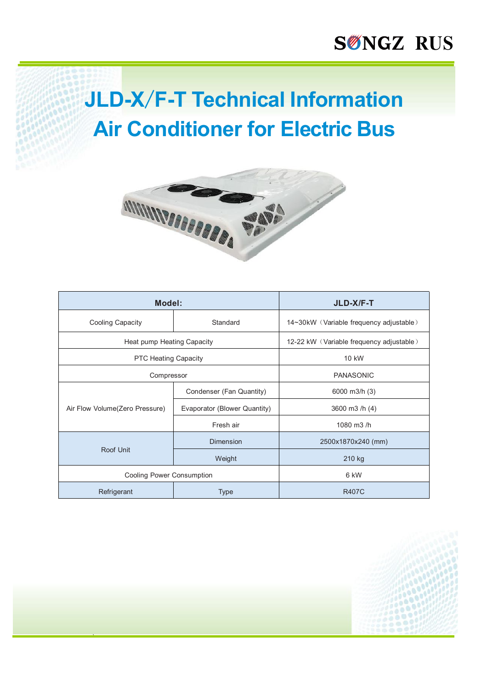# **JLD-X/F-T Technical Information Air Conditioner for Electric Bus**



| Model:                           |                              | JLD-X/F-T                                |
|----------------------------------|------------------------------|------------------------------------------|
| <b>Cooling Capacity</b>          | Standard                     | 14~30kW (Variable frequency adjustable)  |
| Heat pump Heating Capacity       |                              | 12-22 kW (Variable frequency adjustable) |
| <b>PTC Heating Capacity</b>      |                              | 10 kW                                    |
| Compressor                       |                              | <b>PANASONIC</b>                         |
| Air Flow Volume(Zero Pressure)   | Condenser (Fan Quantity)     | 6000 m3/h (3)                            |
|                                  | Evaporator (Blower Quantity) | 3600 m3 /h (4)                           |
|                                  | Fresh air                    | 1080 m3/h                                |
| Roof Unit                        | <b>Dimension</b>             | 2500x1870x240 (mm)                       |
|                                  | Weight                       | 210 kg                                   |
| <b>Cooling Power Consumption</b> |                              | 6 kW                                     |
| Refrigerant                      | Type                         | <b>R407C</b>                             |

`